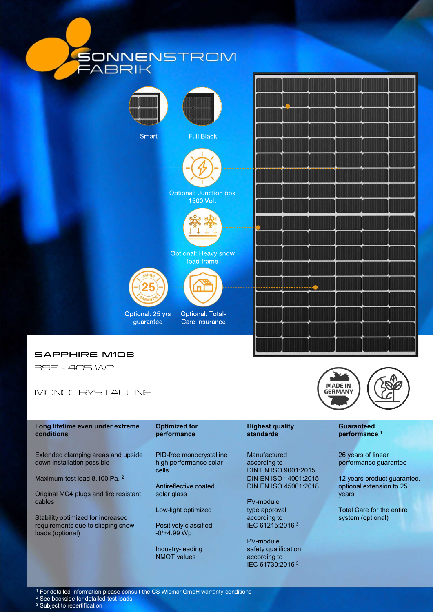







Long lifetime even under extreme Optimized for conditions performance

Maximum test load 8.100 Pa. 2

Original MC4 plugs and fire resistant cables

Stability optimized for increased requirements due to slipping snow loads (optional)

PID-free monocrystalline high performance solar

solar glass

Low-light optimized

Positively classified -0/+4.99 Wp

Industry-leading NMOT values

## standards performance<sup>1</sup>

cells DIN EN ISO 9001:2015 Antireflective coated DIN EN ISO 45001:2018 Manufactured according to DIN EN ISO 14001:2015

> PV-module type approval according to IEC 61215:2016 <sup>3</sup>

PV-module safety qualification according to IEC 61730:2016 <sup>3</sup>



## **Guaranteed**

26 years of linear performance guarantee

DIN EN ISO 45001:2018 optional extension to 25 12 years product guarantee, years

> Total Care for the entire system (optional)

<sup>1</sup> For detailed information please consult the CS Wismar GmbH warranty conditions

<sup>2</sup> See backside for detailed test loads

<sup>3</sup> Subject to recertification